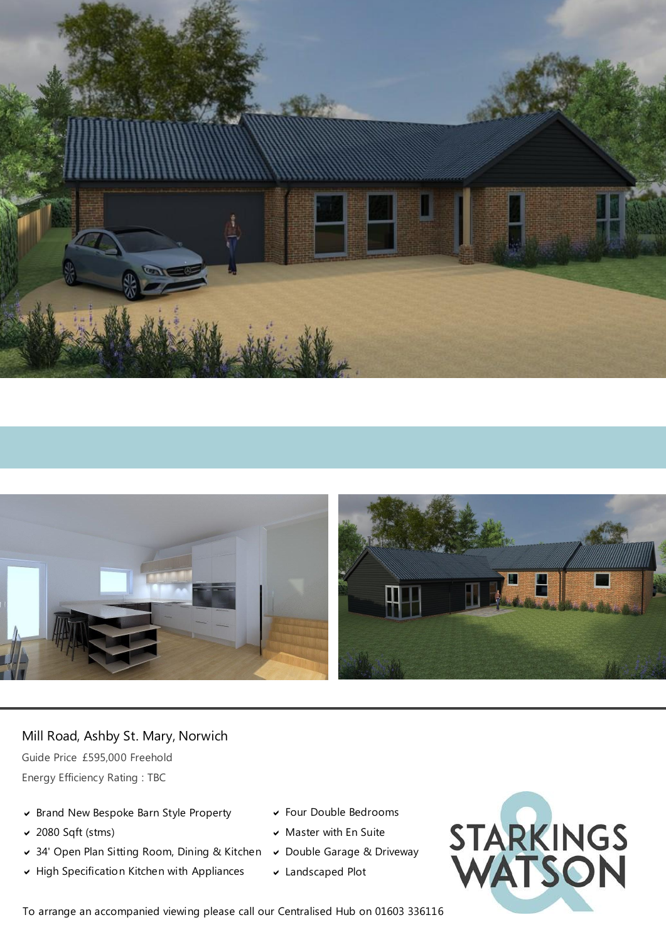



# Mill Road, Ashby St. Mary, Norwich

Guide Price £595,000 Freehold Energy Efficiency Rating : TBC

- Brand New Bespoke Barn Style Property
- 2080 Sqft (stms)
- 34' Open Plan Sitting Room, Dining & Kitchen
- $\blacktriangleright$  High Specification Kitchen with Appliances
- Four Double Bedrooms
- $\triangleright$  Master with En Suite
- Double Garage & Driveway
- Landscaped Plot



To arrange an accompanied viewing please call our Centralised Hub on 01603 336116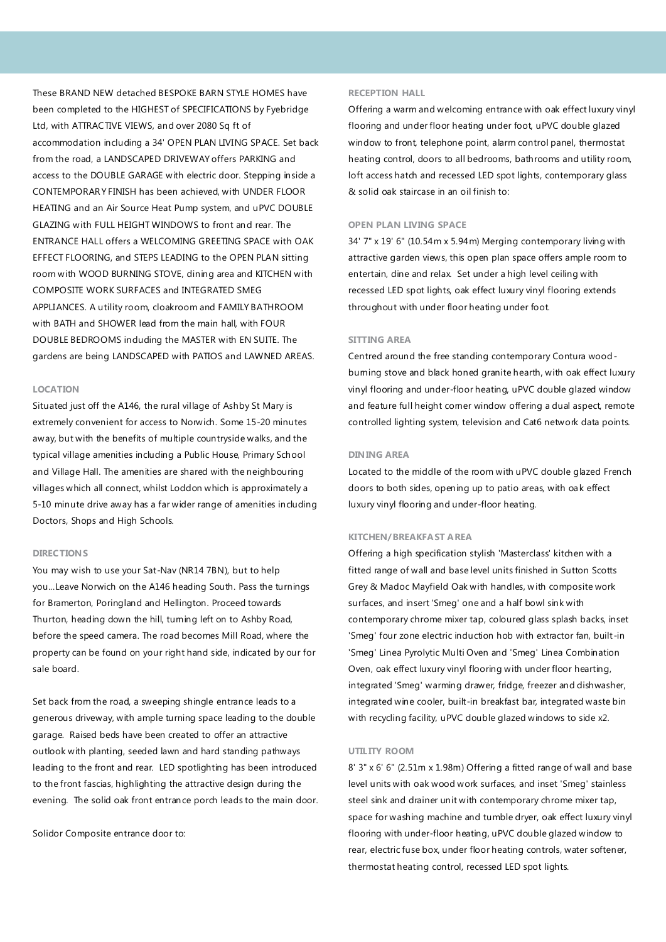These BRAND NEW detached BESPOKE BARN STYLE HOMES have been completed to the HIGHEST of SPECIFICATIONS by Fyebridge Ltd, with ATTRACTIVE VIEWS, and over 2080 Sq ft of accommodation including a 34' OPEN PLAN LIVING SPACE. Set back from the road, a LANDSCAPED DRIVEWAY offers PARKING and access to the DOUBLE GARAGE with electric door. Stepping inside a CONTEMPORARY FINISH has been achieved, with UNDER FLOOR HEATING and an Air Source Heat Pump system, and uPVC DOUBLE GLAZING with FULL HEIGHT WINDOWS to front and rear. The ENTRANCE HALL offers a WELCOMING GREETING SPACE with OAK EFFECT FLOORING, and STEPS LEADING to the OPEN PLAN sitting room with WOOD BURNING STOVE, dining area and KITCHEN with COMPOSITE WORK SURFACES and INTEGRATED SMEG APPLIANCES. A utility room, cloakroom and FAMILY BATHROOM with BATH and SHOWER lead from the main hall, with FOUR DOUBLE BEDROOMS induding the MASTER with EN SUITE. The gardens are being LANDSCAPED with PATIOS and LAWNED AREAS.

### **LOCATION**

Situated just off the A146, the rural village of Ashby St Mary is extremely convenient for access to Norwich. Some 15-20 minutes away, but with the benefits of multiple countryside walks, and the typical village amenities including a Public House, Primary School and Village Hall. The amenities are shared with the neighbouring villages which all connect, whilst Loddon which is approximately a 5-10 minute drive away has a far wider range of amenities including Doctors, Shops and High Schools.

### **DIRECTIONS**

You may wish to use your Sat-Nav (NR14 7BN), but to help you...Leave Norwich on the A146 heading South. Pass the turnings for Bramerton, Poringland and Hellington. Proceed towards Thurton, heading down the hill, tuming left on to Ashby Road, before the speed camera. The road becomes Mill Road, where the property can be found on your right hand side, indicated by our for sale board.

Set back from the road, a sweeping shingle entrance leads to a generous driveway, with ample turning space leading to the double garage. Raised beds have been created to offer an attractive outlook with planting, seeded lawn and hard standing pathways leading to the front and rear. LED spotlighting has been introduced to the front fascias, highlighting the attractive design during the evening. The solid oak front entrance porch leads to the main door.

Solidor Composite entrance door to:

### **RECEPTION HALL**

Offering a warm and welcoming entrance with oak effect luxury vinyl flooring and under floor heating under foot, uPVC double glazed window to front, telephone point, alarm control panel, thermostat heating control, doors to all bedrooms, bathrooms and utility room, loft access hatch and recessed LED spot lights, contemporary glass & solid oak staircase in an oil finish to:

### **OPEN PLAN LIVING SPACE**

34' 7" x 19' 6" (10.54m x 5.94m) Merging contemporary living with attractive garden views, this open plan space offers ample room to entertain, dine and relax. Set under a high level ceiling with recessed LED spot lights, oak effect luxury vinyl flooring extends throughout with under floor heating under foot.

## **SITTING AREA**

Centred around the free standing contemporary Contura woodburning stove and black honed granite hearth, with oak effect luxury vinyl flooring and under-floor heating, uPVC double glazed window and feature full height comer window offering a dual aspect, remote controlled lighting system, television and Cat6 network data points.

#### **DINING AREA**

Located to the middle of the room with uPVC double glazed French doors to both sides, opening up to patio areas, with oak effect luxury vinyl flooring and under-floor heating.

### **KITCHEN/BREAKFAST AREA**

Offering a high specification stylish 'Masterclass' kitchen with a fitted range of wall and base level units finished in Sutton Scotts Grey & Madoc Mayfield Oak with handles, with composite work surfaces, and insert 'Smeg' one and a half bowl sink with contemporary chrome mixer tap, coloured glass splash backs, inset 'Smeg' four zone electric induction hob with extractor fan, built-in 'Smeg' Linea Pyrolytic Multi Oven and 'Smeg' Linea Combination Oven, oak effect luxury vinyl flooring with under floor hearting, integrated 'Smeg' warming drawer, fridge, freezer and dishwasher, integrated wine cooler, built-in breakfast bar, integrated waste bin with recycling facility, uPVC double glazed windows to side x2.

## **UTILITY ROOM**

8' 3" x 6' 6" (2.51m x 1.98m) Offering a fitted range of wall and base level units with oak wood work surfaces, and inset 'Smeg' stainless steel sink and drainer unit with contemporary chrome mixer tap, space for washing machine and tumble dryer, oak effect luxury vinyl flooring with under-floor heating, uPVC double glazed window to rear, electric fuse box, under floor heating controls, water softener, thermostat heating control, recessed LED spot lights.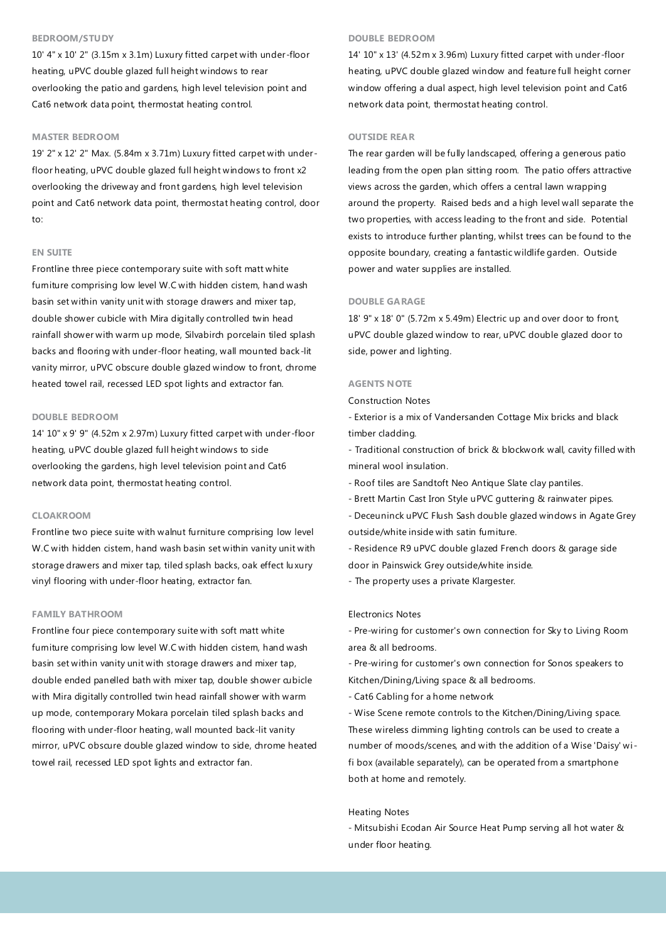# **BEDROOM/STUDY**

10' 4" x 10' 2" (3.15m x 3.1m) Luxury fitted carpet with under-floor heating, uPVC double glazed full height windows to rear overlooking the patio and gardens, high level television point and Cat6 network data point, thermostat heating control.

## **MASTER BEDROOM**

19' 2" x 12' 2" Max. (5.84m x 3.71m) Luxury fitted carpet with under floor heating, uPVC double glazed full height windows to front x2 overlooking the driveway and front gardens, high level television point and Cat6 network data point, thermostat heating control, door to:

# **EN SUITE**

Frontline three piece contemporary suite with soft matt white fumiture comprising low level W.C with hidden cistem, hand wash basin set within vanity unit with storage drawers and mixer tap, double shower cubicle with Mira digitally controlled twin head rainfall shower with warm up mode, Silvabirch porcelain tiled splash backs and flooring with under-floor heating, wall mounted back-lit vanity mirror, uPVC obscure double glazed window to front, chrome heated towel rail, recessed LED spot lights and extractor fan.

### **DOUBLE BEDROOM**

14' 10" x 9' 9" (4.52m x 2.97m) Luxury fitted carpet with under-floor heating, uPVC double glazed full height windows to side overlooking the gardens, high level television point and Cat6 network data point, thermostat heating control.

### **CLOAKROOM**

Frontline two piece suite with walnut furniture comprising low level W.C with hidden cistem, hand wash basin set within vanity unit with storage drawers and mixer tap, tiled splash backs, oak effect lu xury vinyl flooring with under-floor heating, extractor fan.

# **FAMILY BATHROOM**

Frontline four piece contemporary suite with soft matt white fumiture comprising low level W.C with hidden cistem, hand wash basin set within vanity unit with storage drawers and mixer tap, double ended panelled bath with mixer tap, double shower cubicle with Mira digitally controlled twin head rainfall shower with warm up mode, contemporary Mokara porcelain tiled splash backs and flooring with under-floor heating, wall mounted back-lit vanity mirror, uPVC obscure double glazed window to side, chrome heated towel rail, recessed LED spot lights and extractor fan.

### **DOUBLE BEDROOM**

14' 10" x 13' (4.52m x 3.96m) Luxury fitted carpet with under-floor heating, uPVC double glazed window and feature full height corner window offering a dual aspect, high level television point and Cat6 network data point, thermostat heating control.

### **OUTSIDE REAR**

The rear garden will be fully landscaped, offering a generous patio leading from the open plan sitting room. The patio offers attractive views across the garden, which offers a central lawn wrapping around the property. Raised beds and a high level wall separate the two properties, with access leading to the front and side. Potential exists to introduce further planting, whilst trees can be found to the opposite boundary, creating a fantastic wildlife garden. Outside power and water supplies are installed.

#### **DOUBLE GARAGE**

18' 9" x 18' 0" (5.72m x 5.49m) Electric up and over door to front, uPVC double glazed window to rear, uPVC double glazed door to side, power and lighting.

#### **AGENTS NOTE**

Construction Notes

- Exterior is a mix of Vandersanden Cottage Mix bricks and black timber cladding.

- Traditional construction of brick & blockwork wall, cavity filled with mineral wool insulation.

- Roof tiles are Sandtoft Neo Antique Slate clay pantiles.
- Brett Martin Cast Iron Style uPVC guttering & rainwater pipes.
- Deceuninck uPVC Flush Sash double glazed windows in Agate Grey outside/white inside with satin fumiture.
- Residence R9 uPVC double glazed French doors & garage side door in Painswick Grey outside/white inside.
- The property uses a private Klargester.

#### Electronics Notes

- Pre-wiring for customer's own connection for Sky to Living Room area & all bedrooms.

- Pre-wiring for customer's own connection for Sonos speakers to Kitchen/Dining/Living space & all bedrooms.

- Cat6 Cabling for a home network

- Wise Scene remote controls to the Kitchen/Dining/Living space. These wireless dimming lighting controls can be used to create a number of moods/scenes, and with the addition of a Wise 'Daisy' wi fi box (available separately), can be operated from a smartphone both at home and remotely.

#### Heating Notes

- Mitsubishi Ecodan Air Source Heat Pump serving all hot water & under floor heating.